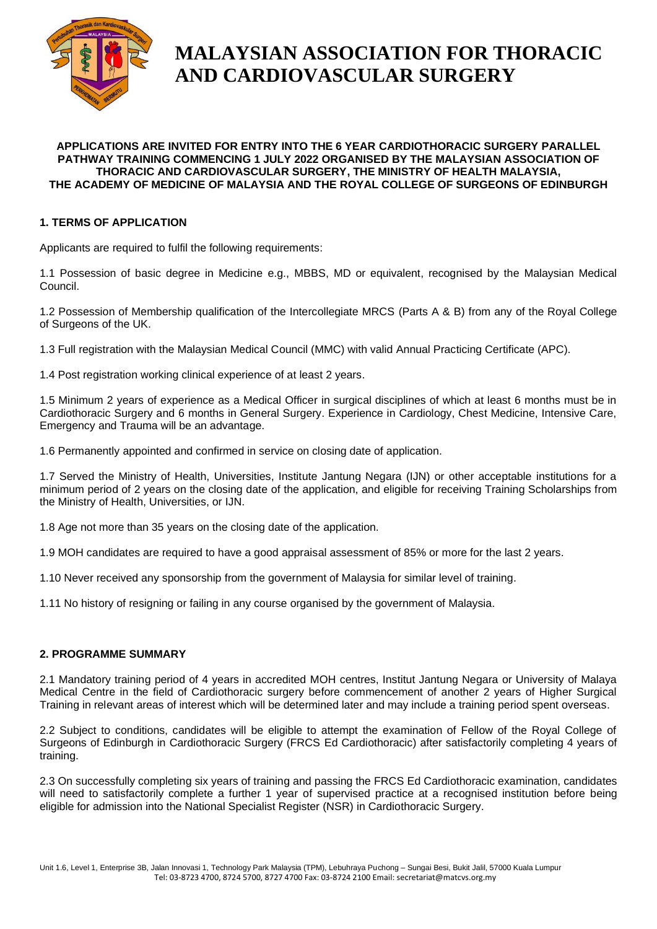

# **MALAYSIAN ASSOCIATION FOR THORACIC AND CARDIOVASCULAR SURGERY**

#### **APPLICATIONS ARE INVITED FOR ENTRY INTO THE 6 YEAR CARDIOTHORACIC SURGERY PARALLEL PATHWAY TRAINING COMMENCING 1 JULY 2022 ORGANISED BY THE MALAYSIAN ASSOCIATION OF THORACIC AND CARDIOVASCULAR SURGERY, THE MINISTRY OF HEALTH MALAYSIA, THE ACADEMY OF MEDICINE OF MALAYSIA AND THE ROYAL COLLEGE OF SURGEONS OF EDINBURGH**

## **1. TERMS OF APPLICATION**

Applicants are required to fulfil the following requirements:

1.1 Possession of basic degree in Medicine e.g., MBBS, MD or equivalent, recognised by the Malaysian Medical Council.

1.2 Possession of Membership qualification of the Intercollegiate MRCS (Parts A & B) from any of the Royal College of Surgeons of the UK.

1.3 Full registration with the Malaysian Medical Council (MMC) with valid Annual Practicing Certificate (APC).

1.4 Post registration working clinical experience of at least 2 years.

1.5 Minimum 2 years of experience as a Medical Officer in surgical disciplines of which at least 6 months must be in Cardiothoracic Surgery and 6 months in General Surgery. Experience in Cardiology, Chest Medicine, Intensive Care, Emergency and Trauma will be an advantage.

1.6 Permanently appointed and confirmed in service on closing date of application.

1.7 Served the Ministry of Health, Universities, Institute Jantung Negara (IJN) or other acceptable institutions for a minimum period of 2 years on the closing date of the application, and eligible for receiving Training Scholarships from the Ministry of Health, Universities, or IJN.

1.8 Age not more than 35 years on the closing date of the application.

1.9 MOH candidates are required to have a good appraisal assessment of 85% or more for the last 2 years.

1.10 Never received any sponsorship from the government of Malaysia for similar level of training.

1.11 No history of resigning or failing in any course organised by the government of Malaysia.

## **2. PROGRAMME SUMMARY**

2.1 Mandatory training period of 4 years in accredited MOH centres, Institut Jantung Negara or University of Malaya Medical Centre in the field of Cardiothoracic surgery before commencement of another 2 years of Higher Surgical Training in relevant areas of interest which will be determined later and may include a training period spent overseas.

2.2 Subject to conditions, candidates will be eligible to attempt the examination of Fellow of the Royal College of Surgeons of Edinburgh in Cardiothoracic Surgery (FRCS Ed Cardiothoracic) after satisfactorily completing 4 years of training.

2.3 On successfully completing six years of training and passing the FRCS Ed Cardiothoracic examination, candidates will need to satisfactorily complete a further 1 year of supervised practice at a recognised institution before being eligible for admission into the National Specialist Register (NSR) in Cardiothoracic Surgery.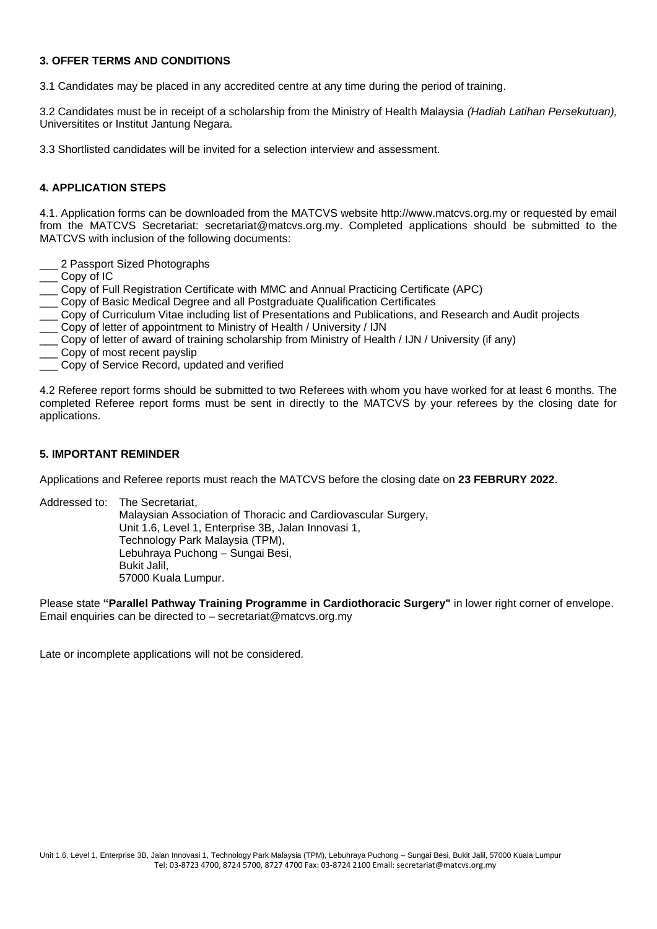### **3. OFFER TERMS AND CONDITIONS**

3.1 Candidates may be placed in any accredited centre at any time during the period of training.

3.2 Candidates must be in receipt of a scholarship from the Ministry of Health Malaysia *(Hadiah Latihan Persekutuan),* Universitites or Institut Jantung Negara.

3.3 Shortlisted candidates will be invited for a selection interview and assessment.

## **4. APPLICATION STEPS**

4.1. Application forms can be downloaded from the MATCVS website http://www.matcvs.org.my or requested by email from the MATCVS Secretariat: secretariat@matcvs.org.my. Completed applications should be submitted to the MATCVS with inclusion of the following documents:

- 2 Passport Sized Photographs
- Copy of IC
- \_\_\_ Copy of Full Registration Certificate with MMC and Annual Practicing Certificate (APC)
- Copy of Basic Medical Degree and all Postgraduate Qualification Certificates
- \_\_\_ Copy of Curriculum Vitae including list of Presentations and Publications, and Research and Audit projects
- \_\_\_ Copy of letter of appointment to Ministry of Health / University / IJN
- \_\_\_ Copy of letter of award of training scholarship from Ministry of Health / IJN / University (if any)
- Copy of most recent payslip
- \_\_\_ Copy of Service Record, updated and verified

4.2 Referee report forms should be submitted to two Referees with whom you have worked for at least 6 months. The completed Referee report forms must be sent in directly to the MATCVS by your referees by the closing date for applications.

### **5. IMPORTANT REMINDER**

Applications and Referee reports must reach the MATCVS before the closing date on **23 FEBRURY 2022**.

Addressed to: The Secretariat, Malaysian Association of Thoracic and Cardiovascular Surgery, Unit 1.6, Level 1, Enterprise 3B, Jalan Innovasi 1, Technology Park Malaysia (TPM), Lebuhraya Puchong – Sungai Besi, Bukit Jalil, 57000 Kuala Lumpur.

Please state **"Parallel Pathway Training Programme in Cardiothoracic Surgery"** in lower right corner of envelope. Email enquiries can be directed to – secretariat@matcvs.org.my

Late or incomplete applications will not be considered.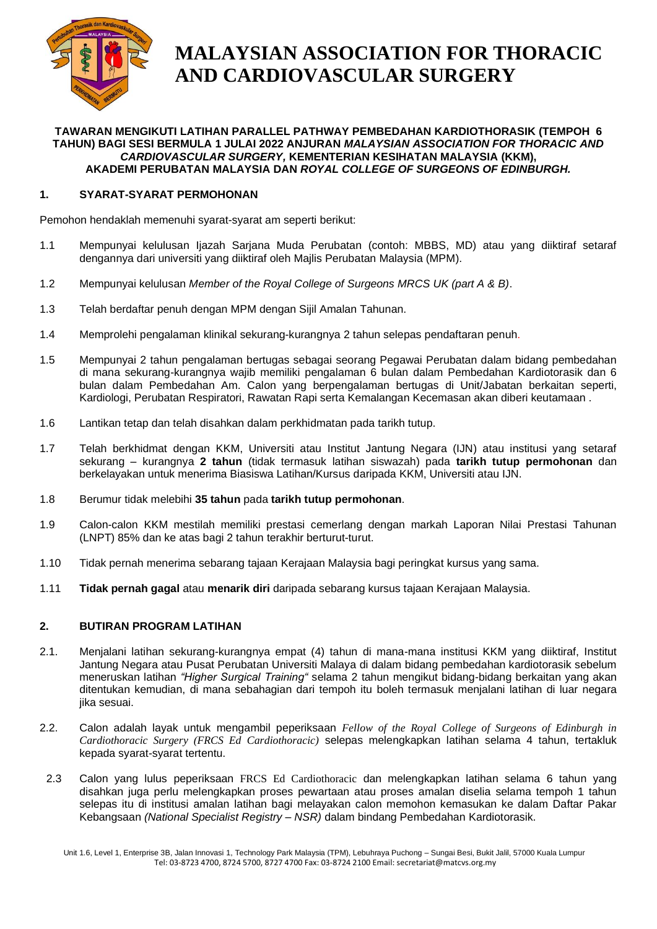

# **MALAYSIAN ASSOCIATION FOR THORACIC AND CARDIOVASCULAR SURGERY**

### **TAWARAN MENGIKUTI LATIHAN PARALLEL PATHWAY PEMBEDAHAN KARDIOTHORASIK (TEMPOH 6 TAHUN) BAGI SESI BERMULA 1 JULAI 2022 ANJURAN** *MALAYSIAN ASSOCIATION FOR THORACIC AND CARDIOVASCULAR SURGERY,* **KEMENTERIAN KESIHATAN MALAYSIA (KKM), AKADEMI PERUBATAN MALAYSIA DAN** *ROYAL COLLEGE OF SURGEONS OF EDINBURGH.*

## **1. SYARAT-SYARAT PERMOHONAN**

Pemohon hendaklah memenuhi syarat-syarat am seperti berikut:

- 1.1 Mempunyai kelulusan Ijazah Sarjana Muda Perubatan (contoh: MBBS, MD) atau yang diiktiraf setaraf dengannya dari universiti yang diiktiraf oleh Majlis Perubatan Malaysia (MPM).
- 1.2 Mempunyai kelulusan *Member of the Royal College of Surgeons MRCS UK (part A & B)*.
- 1.3 Telah berdaftar penuh dengan MPM dengan Sijil Amalan Tahunan.
- 1.4 Memprolehi pengalaman klinikal sekurang-kurangnya 2 tahun selepas pendaftaran penuh.
- 1.5 Mempunyai 2 tahun pengalaman bertugas sebagai seorang Pegawai Perubatan dalam bidang pembedahan di mana sekurang-kurangnya wajib memiliki pengalaman 6 bulan dalam Pembedahan Kardiotorasik dan 6 bulan dalam Pembedahan Am. Calon yang berpengalaman bertugas di Unit/Jabatan berkaitan seperti, Kardiologi, Perubatan Respiratori, Rawatan Rapi serta Kemalangan Kecemasan akan diberi keutamaan .
- 1.6 Lantikan tetap dan telah disahkan dalam perkhidmatan pada tarikh tutup.
- 1.7 Telah berkhidmat dengan KKM, Universiti atau Institut Jantung Negara (IJN) atau institusi yang setaraf sekurang – kurangnya **2 tahun** (tidak termasuk latihan siswazah) pada **tarikh tutup permohonan** dan berkelayakan untuk menerima Biasiswa Latihan/Kursus daripada KKM, Universiti atau IJN.
- 1.8 Berumur tidak melebihi **35 tahun** pada **tarikh tutup permohonan**.
- 1.9 Calon-calon KKM mestilah memiliki prestasi cemerlang dengan markah Laporan Nilai Prestasi Tahunan (LNPT) 85% dan ke atas bagi 2 tahun terakhir berturut-turut.
- 1.10 Tidak pernah menerima sebarang tajaan Kerajaan Malaysia bagi peringkat kursus yang sama.
- 1.11 **Tidak pernah gagal** atau **menarik diri** daripada sebarang kursus tajaan Kerajaan Malaysia.

## **2. BUTIRAN PROGRAM LATIHAN**

- 2.1. Menjalani latihan sekurang-kurangnya empat (4) tahun di mana-mana institusi KKM yang diiktiraf, Institut Jantung Negara atau Pusat Perubatan Universiti Malaya di dalam bidang pembedahan kardiotorasik sebelum meneruskan latihan *"Higher Surgical Training"* selama 2 tahun mengikut bidang-bidang berkaitan yang akan ditentukan kemudian, di mana sebahagian dari tempoh itu boleh termasuk menjalani latihan di luar negara jika sesuai.
- 2.2. Calon adalah layak untuk mengambil peperiksaan *Fellow of the Royal College of Surgeons of Edinburgh in Cardiothoracic Surgery (FRCS Ed Cardiothoracic)* selepas melengkapkan latihan selama 4 tahun, tertakluk kepada syarat-syarat tertentu.
- 2.3 Calon yang lulus peperiksaan FRCS Ed Cardiothoracic dan melengkapkan latihan selama 6 tahun yang disahkan juga perlu melengkapkan proses pewartaan atau proses amalan diselia selama tempoh 1 tahun selepas itu di institusi amalan latihan bagi melayakan calon memohon kemasukan ke dalam Daftar Pakar Kebangsaan *(National Specialist Registry – NSR)* dalam bindang Pembedahan Kardiotorasik.